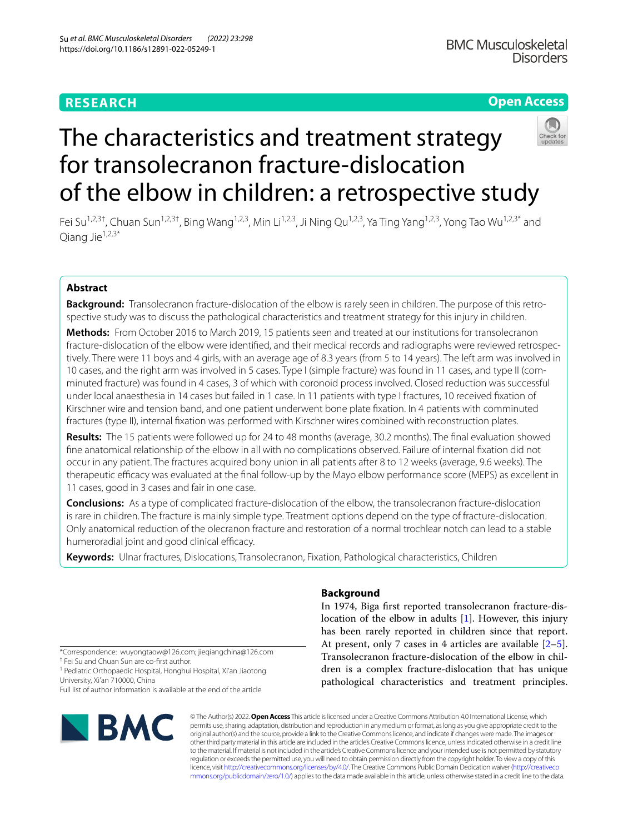# **RESEARCH**

# **Open Access**



# The characteristics and treatment strategy for transolecranon fracture-dislocation of the elbow in children: a retrospective study

Fei Su<sup>1,2,3†</sup>, Chuan Sun<sup>1,2,3†</sup>, Bing Wang<sup>1,2,3</sup>, Min Li<sup>1,2,3</sup>, Ji Ning Qu<sup>1,2,3</sup>, Ya Ting Yang<sup>1,2,3</sup>, Yong Tao Wu<sup>1,2,3\*</sup> and Oiang Jie $1,2,3^*$ 

# **Abstract**

**Background:** Transolecranon fracture-dislocation of the elbow is rarely seen in children. The purpose of this retrospective study was to discuss the pathological characteristics and treatment strategy for this injury in children.

**Methods:** From October 2016 to March 2019, 15 patients seen and treated at our institutions for transolecranon fracture-dislocation of the elbow were identifed, and their medical records and radiographs were reviewed retrospectively. There were 11 boys and 4 girls, with an average age of 8.3 years (from 5 to 14 years). The left arm was involved in 10 cases, and the right arm was involved in 5 cases. Type I (simple fracture) was found in 11 cases, and type II (comminuted fracture) was found in 4 cases, 3 of which with coronoid process involved. Closed reduction was successful under local anaesthesia in 14 cases but failed in 1 case. In 11 patients with type I fractures, 10 received fxation of Kirschner wire and tension band, and one patient underwent bone plate fxation. In 4 patients with comminuted fractures (type II), internal fxation was performed with Kirschner wires combined with reconstruction plates.

**Results:** The 15 patients were followed up for 24 to 48 months (average, 30.2 months). The fnal evaluation showed fne anatomical relationship of the elbow in all with no complications observed. Failure of internal fxation did not occur in any patient. The fractures acquired bony union in all patients after 8 to 12 weeks (average, 9.6 weeks). The therapeutic efficacy was evaluated at the final follow-up by the Mayo elbow performance score (MEPS) as excellent in 11 cases, good in 3 cases and fair in one case.

**Conclusions:** As a type of complicated fracture-dislocation of the elbow, the transolecranon fracture-dislocation is rare in children. The fracture is mainly simple type. Treatment options depend on the type of fracture-dislocation. Only anatomical reduction of the olecranon fracture and restoration of a normal trochlear notch can lead to a stable humeroradial joint and good clinical efficacy.

**Keywords:** Ulnar fractures, Dislocations, Transolecranon, Fixation, Pathological characteristics, Children

# **Background**

In 1974, Biga frst reported transolecranon fracture-dislocation of the elbow in adults [\[1\]](#page-5-0). However, this injury has been rarely reported in children since that report. At present, only 7 cases in 4 articles are available [\[2](#page-5-1)[–5](#page-6-0)]. Transolecranon fracture-dislocation of the elbow in children is a complex fracture-dislocation that has unique pathological characteristics and treatment principles.

\*Correspondence: wuyongtaow@126.com; jieqiangchina@126.com

† Fei Su and Chuan Sun are co-frst author.

<sup>1</sup> Pediatric Orthopaedic Hospital, Honghui Hospital, Xi'an Jiaotong University, Xi'an 710000, China

Full list of author information is available at the end of the article



© The Author(s) 2022. **Open Access** This article is licensed under a Creative Commons Attribution 4.0 International License, which permits use, sharing, adaptation, distribution and reproduction in any medium or format, as long as you give appropriate credit to the original author(s) and the source, provide a link to the Creative Commons licence, and indicate if changes were made. The images or other third party material in this article are included in the article's Creative Commons licence, unless indicated otherwise in a credit line to the material. If material is not included in the article's Creative Commons licence and your intended use is not permitted by statutory regulation or exceeds the permitted use, you will need to obtain permission directly from the copyright holder. To view a copy of this licence, visit [http://creativecommons.org/licenses/by/4.0/.](http://creativecommons.org/licenses/by/4.0/) The Creative Commons Public Domain Dedication waiver ([http://creativeco](http://creativecommons.org/publicdomain/zero/1.0/) [mmons.org/publicdomain/zero/1.0/](http://creativecommons.org/publicdomain/zero/1.0/)) applies to the data made available in this article, unless otherwise stated in a credit line to the data.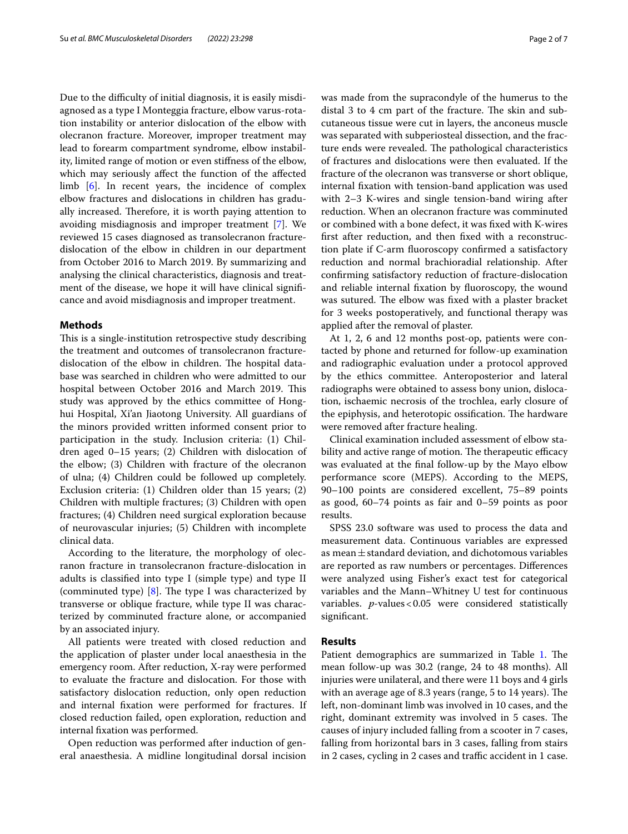Due to the difficulty of initial diagnosis, it is easily misdiagnosed as a type I Monteggia fracture, elbow varus-rotation instability or anterior dislocation of the elbow with olecranon fracture. Moreover, improper treatment may lead to forearm compartment syndrome, elbow instability, limited range of motion or even stifness of the elbow, which may seriously afect the function of the afected limb [[6](#page-6-1)]. In recent years, the incidence of complex elbow fractures and dislocations in children has gradually increased. Therefore, it is worth paying attention to avoiding misdiagnosis and improper treatment [\[7](#page-6-2)]. We reviewed 15 cases diagnosed as transolecranon fracturedislocation of the elbow in children in our department from October 2016 to March 2019. By summarizing and analysing the clinical characteristics, diagnosis and treatment of the disease, we hope it will have clinical signifcance and avoid misdiagnosis and improper treatment.

## **Methods**

This is a single-institution retrospective study describing the treatment and outcomes of transolecranon fracturedislocation of the elbow in children. The hospital database was searched in children who were admitted to our hospital between October 2016 and March 2019. This study was approved by the ethics committee of Honghui Hospital, Xi'an Jiaotong University. All guardians of the minors provided written informed consent prior to participation in the study. Inclusion criteria: (1) Children aged 0–15 years; (2) Children with dislocation of the elbow; (3) Children with fracture of the olecranon of ulna; (4) Children could be followed up completely. Exclusion criteria: (1) Children older than 15 years; (2) Children with multiple fractures; (3) Children with open fractures; (4) Children need surgical exploration because of neurovascular injuries; (5) Children with incomplete clinical data.

According to the literature, the morphology of olecranon fracture in transolecranon fracture-dislocation in adults is classifed into type I (simple type) and type II (comminuted type)  $[8]$  $[8]$ . The type I was characterized by transverse or oblique fracture, while type II was characterized by comminuted fracture alone, or accompanied by an associated injury.

All patients were treated with closed reduction and the application of plaster under local anaesthesia in the emergency room. After reduction, X-ray were performed to evaluate the fracture and dislocation. For those with satisfactory dislocation reduction, only open reduction and internal fxation were performed for fractures. If closed reduction failed, open exploration, reduction and internal fxation was performed.

Open reduction was performed after induction of general anaesthesia. A midline longitudinal dorsal incision

was made from the supracondyle of the humerus to the distal 3 to 4  $\text{cm}$  part of the fracture. The skin and subcutaneous tissue were cut in layers, the anconeus muscle was separated with subperiosteal dissection, and the fracture ends were revealed. The pathological characteristics of fractures and dislocations were then evaluated. If the fracture of the olecranon was transverse or short oblique, internal fxation with tension-band application was used with 2–3 K-wires and single tension-band wiring after reduction. When an olecranon fracture was comminuted or combined with a bone defect, it was fxed with K-wires frst after reduction, and then fxed with a reconstruction plate if C-arm fuoroscopy confrmed a satisfactory reduction and normal brachioradial relationship. After confrming satisfactory reduction of fracture-dislocation and reliable internal fxation by fuoroscopy, the wound was sutured. The elbow was fixed with a plaster bracket for 3 weeks postoperatively, and functional therapy was applied after the removal of plaster.

At 1, 2, 6 and 12 months post-op, patients were contacted by phone and returned for follow-up examination and radiographic evaluation under a protocol approved by the ethics committee. Anteroposterior and lateral radiographs were obtained to assess bony union, dislocation, ischaemic necrosis of the trochlea, early closure of the epiphysis, and heterotopic ossification. The hardware were removed after fracture healing.

Clinical examination included assessment of elbow stability and active range of motion. The therapeutic efficacy was evaluated at the fnal follow-up by the Mayo elbow performance score (MEPS). According to the MEPS, 90–100 points are considered excellent, 75–89 points as good, 60–74 points as fair and 0–59 points as poor results.

SPSS 23.0 software was used to process the data and measurement data. Continuous variables are expressed as mean $\pm$ standard deviation, and dichotomous variables are reported as raw numbers or percentages. Diferences were analyzed using Fisher's exact test for categorical variables and the Mann–Whitney U test for continuous variables. *p*-values<0.05 were considered statistically signifcant.

## **Results**

Patient demographics are summarized in Table [1.](#page-2-0) The mean follow-up was 30.2 (range, 24 to 48 months). All injuries were unilateral, and there were 11 boys and 4 girls with an average age of 8.3 years (range, 5 to 14 years). The left, non-dominant limb was involved in 10 cases, and the right, dominant extremity was involved in 5 cases. The causes of injury included falling from a scooter in 7 cases, falling from horizontal bars in 3 cases, falling from stairs in 2 cases, cycling in 2 cases and traffic accident in 1 case.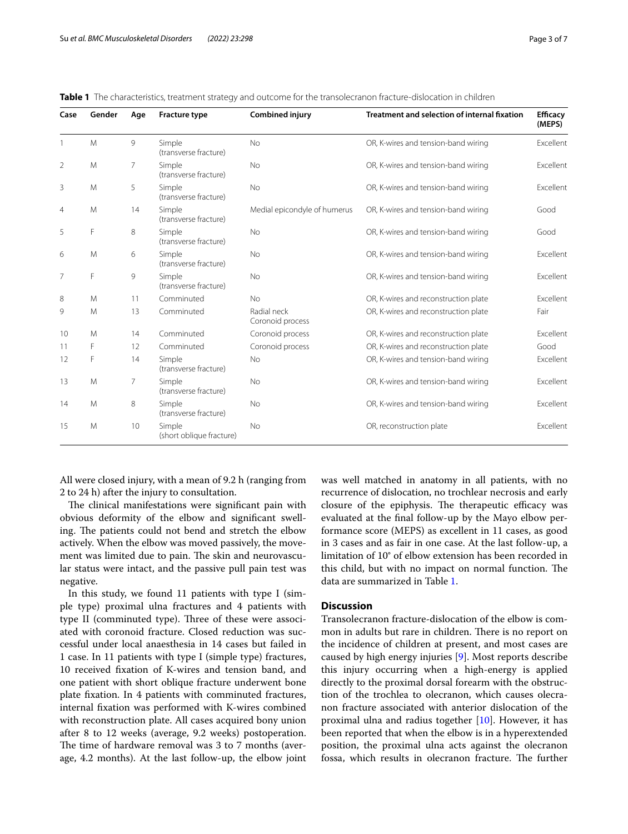| Case           | Gender | Age | <b>Fracture type</b>               | <b>Combined injury</b>          | <b>Treatment and selection of internal fixation</b> | <b>Efficacy</b><br>(MEPS) |
|----------------|--------|-----|------------------------------------|---------------------------------|-----------------------------------------------------|---------------------------|
|                | M      | 9   | Simple<br>(transverse fracture)    | <b>No</b>                       | OR, K-wires and tension-band wiring                 | Excellent                 |
| 2              | M      | 7   | Simple<br>(transverse fracture)    | <b>No</b>                       | OR, K-wires and tension-band wiring                 | Excellent                 |
| 3              | M      | 5   | Simple<br>(transverse fracture)    | <b>No</b>                       | OR, K-wires and tension-band wiring                 | Excellent                 |
| $\overline{4}$ | M      | 14  | Simple<br>(transverse fracture)    | Medial epicondyle of humerus    | OR, K-wires and tension-band wiring                 | Good                      |
| 5              | F      | 8   | Simple<br>(transverse fracture)    | <b>No</b>                       | OR, K-wires and tension-band wiring                 | Good                      |
| 6              | M      | 6   | Simple<br>(transverse fracture)    | <b>No</b>                       | OR, K-wires and tension-band wiring                 | Excellent                 |
| 7              | F      | 9   | Simple<br>(transverse fracture)    | <b>No</b>                       | OR, K-wires and tension-band wiring                 | Excellent                 |
| 8              | M      | 11  | Comminuted                         | <b>No</b>                       | OR, K-wires and reconstruction plate                | Excellent                 |
| 9              | M      | 13  | Comminuted                         | Radial neck<br>Coronoid process | OR, K-wires and reconstruction plate                | Fair                      |
| 10             | M      | 14  | Comminuted                         | Coronoid process                | OR, K-wires and reconstruction plate                | Excellent                 |
| 11             | F      | 12  | Comminuted                         | Coronoid process                | OR, K-wires and reconstruction plate                | Good                      |
| 12             | F      | 14  | Simple<br>(transverse fracture)    | No                              | OR, K-wires and tension-band wiring                 | Excellent                 |
| 13             | M      | 7   | Simple<br>(transverse fracture)    | No                              | OR, K-wires and tension-band wiring                 | Excellent                 |
| 14             | M      | 8   | Simple<br>(transverse fracture)    | <b>No</b>                       | OR, K-wires and tension-band wiring                 | Excellent                 |
| 15             | M      | 10  | Simple<br>(short oblique fracture) | <b>No</b>                       | OR, reconstruction plate                            | Excellent                 |

<span id="page-2-0"></span>**Table 1** The characteristics, treatment strategy and outcome for the transolecranon fracture-dislocation in children

All were closed injury, with a mean of 9.2 h (ranging from 2 to 24 h) after the injury to consultation.

The clinical manifestations were significant pain with obvious deformity of the elbow and signifcant swelling. The patients could not bend and stretch the elbow actively. When the elbow was moved passively, the movement was limited due to pain. The skin and neurovascular status were intact, and the passive pull pain test was negative.

In this study, we found 11 patients with type I (simple type) proximal ulna fractures and 4 patients with type II (comminuted type). Three of these were associated with coronoid fracture. Closed reduction was successful under local anaesthesia in 14 cases but failed in 1 case. In 11 patients with type I (simple type) fractures, 10 received fxation of K-wires and tension band, and one patient with short oblique fracture underwent bone plate fxation. In 4 patients with comminuted fractures, internal fxation was performed with K-wires combined with reconstruction plate. All cases acquired bony union after 8 to 12 weeks (average, 9.2 weeks) postoperation. The time of hardware removal was 3 to 7 months (average, 4.2 months). At the last follow-up, the elbow joint was well matched in anatomy in all patients, with no recurrence of dislocation, no trochlear necrosis and early closure of the epiphysis. The therapeutic efficacy was evaluated at the fnal follow-up by the Mayo elbow performance score (MEPS) as excellent in 11 cases, as good in 3 cases and as fair in one case. At the last follow-up, a limitation of 10° of elbow extension has been recorded in this child, but with no impact on normal function. The data are summarized in Table [1](#page-2-0).

# **Discussion**

Transolecranon fracture-dislocation of the elbow is common in adults but rare in children. There is no report on the incidence of children at present, and most cases are caused by high energy injuries [[9\]](#page-6-4). Most reports describe this injury occurring when a high-energy is applied directly to the proximal dorsal forearm with the obstruction of the trochlea to olecranon, which causes olecranon fracture associated with anterior dislocation of the proximal ulna and radius together [[10\]](#page-6-5). However, it has been reported that when the elbow is in a hyperextended position, the proximal ulna acts against the olecranon fossa, which results in olecranon fracture. The further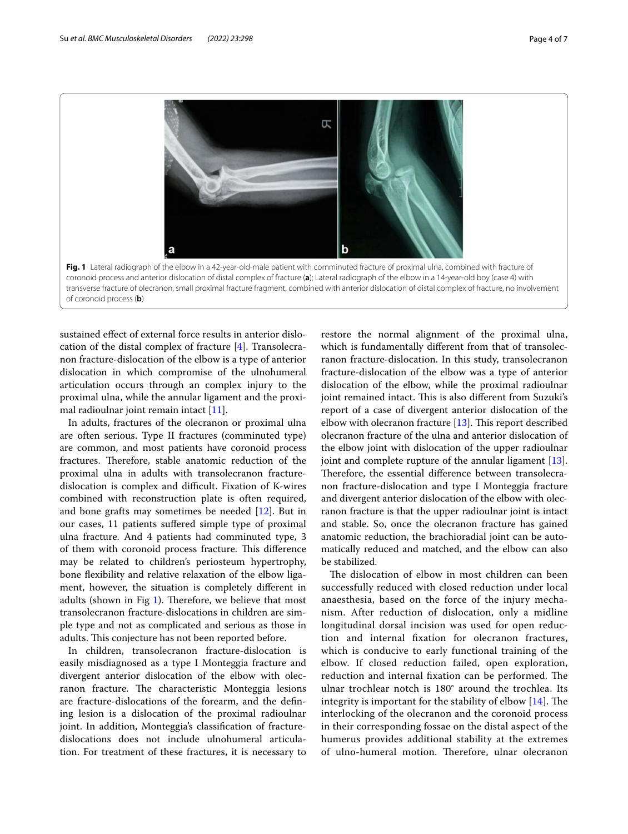

<span id="page-3-0"></span>sustained efect of external force results in anterior dislocation of the distal complex of fracture [\[4\]](#page-5-2). Transolecranon fracture-dislocation of the elbow is a type of anterior dislocation in which compromise of the ulnohumeral articulation occurs through an complex injury to the proximal ulna, while the annular ligament and the proximal radioulnar joint remain intact  $[11]$  $[11]$ .

In adults, fractures of the olecranon or proximal ulna are often serious. Type II fractures (comminuted type) are common, and most patients have coronoid process fractures. Therefore, stable anatomic reduction of the proximal ulna in adults with transolecranon fracturedislocation is complex and difficult. Fixation of K-wires combined with reconstruction plate is often required, and bone grafts may sometimes be needed [\[12](#page-6-7)]. But in our cases, 11 patients sufered simple type of proximal ulna fracture. And 4 patients had comminuted type, 3 of them with coronoid process fracture. This difference may be related to children's periosteum hypertrophy, bone flexibility and relative relaxation of the elbow ligament, however, the situation is completely diferent in adults (shown in Fig  $1$ ). Therefore, we believe that most transolecranon fracture-dislocations in children are simple type and not as complicated and serious as those in adults. This conjecture has not been reported before.

In children, transolecranon fracture-dislocation is easily misdiagnosed as a type I Monteggia fracture and divergent anterior dislocation of the elbow with olecranon fracture. The characteristic Monteggia lesions are fracture-dislocations of the forearm, and the defning lesion is a dislocation of the proximal radioulnar joint. In addition, Monteggia's classifcation of fracturedislocations does not include ulnohumeral articulation. For treatment of these fractures, it is necessary to restore the normal alignment of the proximal ulna, which is fundamentally diferent from that of transolecranon fracture-dislocation. In this study, transolecranon fracture-dislocation of the elbow was a type of anterior dislocation of the elbow, while the proximal radioulnar joint remained intact. This is also different from Suzuki's report of a case of divergent anterior dislocation of the elbow with olecranon fracture  $[13]$  $[13]$ . This report described olecranon fracture of the ulna and anterior dislocation of the elbow joint with dislocation of the upper radioulnar joint and complete rupture of the annular ligament [\[13](#page-6-8)]. Therefore, the essential difference between transolecranon fracture-dislocation and type I Monteggia fracture and divergent anterior dislocation of the elbow with olecranon fracture is that the upper radioulnar joint is intact and stable. So, once the olecranon fracture has gained anatomic reduction, the brachioradial joint can be automatically reduced and matched, and the elbow can also be stabilized.

The dislocation of elbow in most children can been successfully reduced with closed reduction under local anaesthesia, based on the force of the injury mechanism. After reduction of dislocation, only a midline longitudinal dorsal incision was used for open reduction and internal fxation for olecranon fractures, which is conducive to early functional training of the elbow. If closed reduction failed, open exploration, reduction and internal fixation can be performed. The ulnar trochlear notch is 180° around the trochlea. Its integrity is important for the stability of elbow  $[14]$  $[14]$  $[14]$ . The interlocking of the olecranon and the coronoid process in their corresponding fossae on the distal aspect of the humerus provides additional stability at the extremes of ulno-humeral motion. Therefore, ulnar olecranon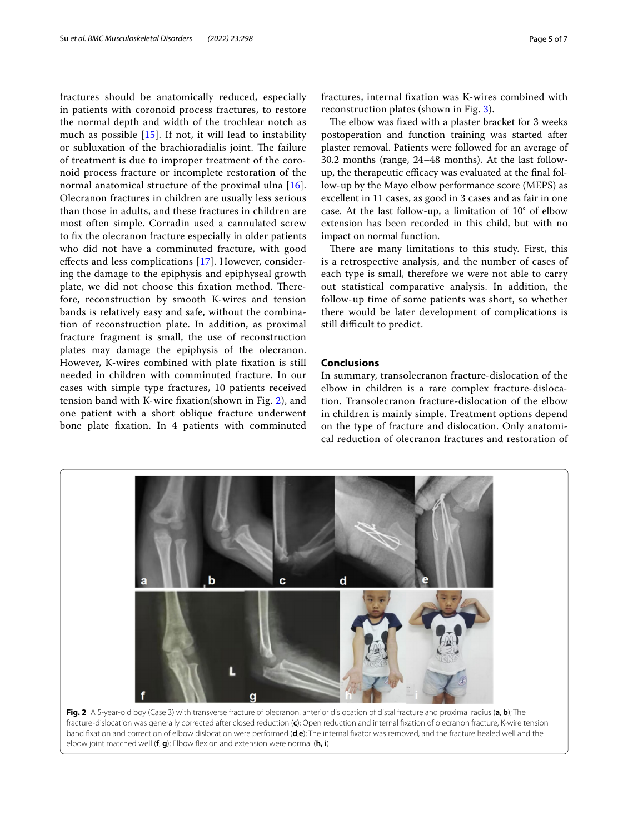fractures should be anatomically reduced, especially in patients with coronoid process fractures, to restore the normal depth and width of the trochlear notch as much as possible  $[15]$  $[15]$ . If not, it will lead to instability or subluxation of the brachioradialis joint. The failure of treatment is due to improper treatment of the coronoid process fracture or incomplete restoration of the normal anatomical structure of the proximal ulna [[16\]](#page-6-11). Olecranon fractures in children are usually less serious than those in adults, and these fractures in children are most often simple. Corradin used a cannulated screw to fx the olecranon fracture especially in older patients who did not have a comminuted fracture, with good efects and less complications [[17\]](#page-6-12). However, considering the damage to the epiphysis and epiphyseal growth plate, we did not choose this fixation method. Therefore, reconstruction by smooth K-wires and tension bands is relatively easy and safe, without the combination of reconstruction plate. In addition, as proximal fracture fragment is small, the use of reconstruction plates may damage the epiphysis of the olecranon. However, K-wires combined with plate fxation is still needed in children with comminuted fracture. In our cases with simple type fractures, 10 patients received tension band with K-wire fxation(shown in Fig. [2\)](#page-4-0), and one patient with a short oblique fracture underwent bone plate fxation. In 4 patients with comminuted fractures, internal fxation was K-wires combined with reconstruction plates (shown in Fig. [3\)](#page-5-3).

The elbow was fixed with a plaster bracket for 3 weeks postoperation and function training was started after plaster removal. Patients were followed for an average of 30.2 months (range, 24–48 months). At the last followup, the therapeutic efficacy was evaluated at the final follow-up by the Mayo elbow performance score (MEPS) as excellent in 11 cases, as good in 3 cases and as fair in one case. At the last follow-up, a limitation of 10° of elbow extension has been recorded in this child, but with no impact on normal function.

There are many limitations to this study. First, this is a retrospective analysis, and the number of cases of each type is small, therefore we were not able to carry out statistical comparative analysis. In addition, the follow-up time of some patients was short, so whether there would be later development of complications is still difficult to predict.

# **Conclusions**

In summary, transolecranon fracture-dislocation of the elbow in children is a rare complex fracture-dislocation. Transolecranon fracture-dislocation of the elbow in children is mainly simple. Treatment options depend on the type of fracture and dislocation. Only anatomical reduction of olecranon fractures and restoration of



<span id="page-4-0"></span>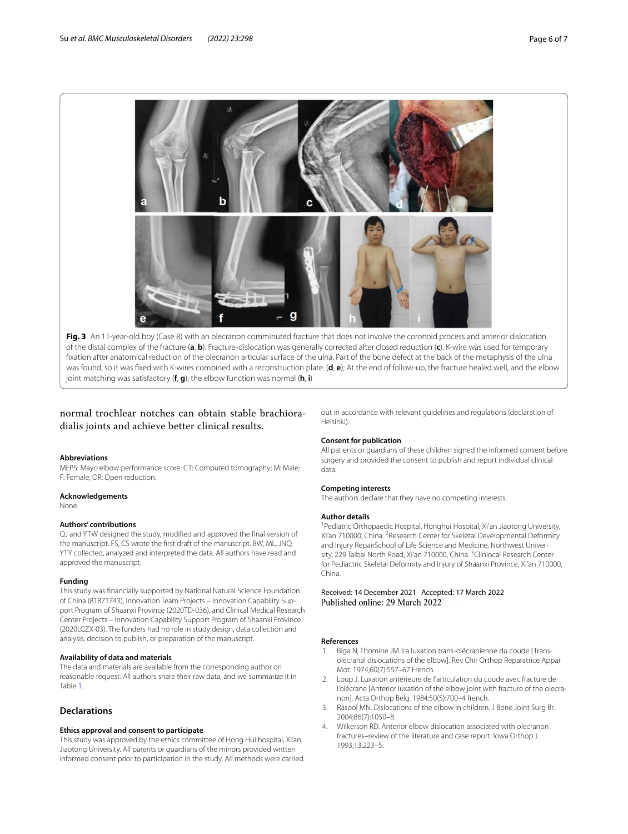

<span id="page-5-3"></span>Fig. 3 An 11-year-old boy (Case 8) with an olecranon comminuted fracture that does not involve the coronoid process and anterior dislocation of the distal complex of the fracture (**a**, **b**). Fracture-dislocation was generally corrected after closed reduction (**c**). K-wire was used for temporary fxation after anatomical reduction of the olecranon articular surface of the ulna. Part of the bone defect at the back of the metaphysis of the ulna was found, so it was fxed with K-wires combined with a reconstruction plate. (**d**, **e**); At the end of follow-up, the fracture healed well, and the elbow joint matching was satisfactory (**f**, **g**); the elbow function was normal (**h**, **i**)

normal trochlear notches can obtain stable brachioradialis joints and achieve better clinical results.

#### **Abbreviations**

MEPS: Mayo elbow performance score; CT: Computed tomography; M: Male; F: Female; OR: Open reduction.

#### **Acknowledgements**

None.

#### **Authors' contributions**

QJ and YTW designed the study, modifed and approved the fnal version of the manuscript. FS, CS wrote the frst draft of the manuscript. BW, ML, JNQ, YTY collected, analyzed and interpreted the data. All authors have read and approved the manuscript.

## **Funding**

This study was fnancially supported by National Natural Science Foundation of China (81871743), Innovation Team Projects – Innovation Capability Support Program of Shaanxi Province (2020TD-036), and Clinical Medical Research Center Projects – Innovation Capability Support Program of Shaanxi Province (2020LCZX-03). The funders had no role in study design, data collection and analysis, decision to publish, or preparation of the manuscript.

## **Availability of data and materials**

The data and materials are available from the corresponding author on reasonable request. All authors share their raw data, and we summarize it in Table [1.](#page-2-0)

# **Declarations**

## **Ethics approval and consent to participate**

This study was approved by the ethics committee of Hong Hui hospital, Xi'an Jiaotong University. All parents or guardians of the minors provided written informed consent prior to participation in the study. All methods were carried out in accordance with relevant guidelines and regulations (declaration of Helsinki).

#### **Consent for publication**

All patients or guardians of these children signed the informed consent before surgery and provided the consent to publish and report individual clinical data.

#### **Competing interests**

The authors declare that they have no competing interests.

#### **Author details**

<sup>1</sup> Pediatric Orthopaedic Hospital, Honghui Hospital, Xi'an Jiaotong University, Xi'an 710000, China. <sup>2</sup> Research Center for Skeletal Developmental Deformity and Injury RepairSchool of Life Science and Medicine, Northwest University, 229 Taibai North Road, Xi'an 710000, China. <sup>3</sup> Clinincal Research Center for Pediactric Skeletal Deformity and Injury of Shaanxi Province, Xi'an 710000, China.

Received: 14 December 2021 Accepted: 17 March 2022

#### **References**

- <span id="page-5-0"></span>1. Biga N, Thomine JM. La luxation trans-olécranienne du coude [Transolecranal dislocations of the elbow]. Rev Chir Orthop Reparatrice Appar Mot. 1974;60(7):557–67 French.
- <span id="page-5-1"></span>2. Loup J. Luxation antérieure de l'articulation du coude avec fracture de l'olécrane [Anterior luxation of the elbow joint with fracture of the olecranon]. Acta Orthop Belg. 1984;50(5):700–4 french.
- 3. Rasool MN. Dislocations of the elbow in children. J Bone Joint Surg Br. 2004;86(7):1050–8.
- <span id="page-5-2"></span>4. Wilkerson RD. Anterior elbow dislocation associated with olecranon fractures–review of the literature and case report. Iowa Orthop J. 1993;13:223–5.